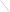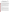United States Environmental Protection Agency

Office of Water (4606)

EPA 816-F-99-005 June 1999 www.epa.gov/safewater

# $EPA$ **Guidance for People with Severely Weakened Immune Systems**

(co-released with the Centers for Disease Control and Prevention, 1995)

### **INTRODUCTION**

*Cryptosporidium* is a parasite commonly found in lakes and rivers, especially when the water is contaminated with sewage and animal wastes. *Cryptosporidium* is very resistant to disinfection, and even a well-operated water treatment system cannot ensure that drinking water will be completely free of this parasite. Current EPA drinking water standards were not explicitly designed to assure the removal or killing of *Cryptosporidium*. Many large water systems already voluntarily take actions for greater control of *Cryptosporidium* and other microbial contaminants. By 2001, the water systems serving the majority of the United States population (those relying on a surface water source, such as a river, and serving more than 10,000 people) must meet a new EPA standard that strengthens control over microbial contaminants, including *Cryptosporidium*. EPA continues to conduct research on microbial contaminants which will be used for determining priorities for the drinking water program, including setting future standards and reevaluating existing standards.

*Cryptosporidium* has caused several large waterborne disease outbreaks of gastrointestinal illness, with symptoms that include diarrhea, nausea, and/or stomach cramps. People with severely weakened immune systems (that is, severely immunocompromised) are likely to have more severe and more persistent symptoms than healthy individuals. Moreover, *Cryptosporidium* has been a contributing cause of death in some immunocompromised people. Individuals who are severely immunocompromised may include those who are infected with HIV/AIDS, cancer and transplant patients taking immunosuppressive drugs, and people born with a weakened immune system.

#### **BACKGROUND**

Data are not adequate to determine how most people become infected. For example, we do not know the importance of drinking water compared to other possible sources of *Cryptosporidium*, such as exposure to the feces of infected persons or animals, sex involving contact with feces, eating contaminated food, or accidentally swallowing contaminated recreational water.

Thus, in the absence of an outbreak, there are insufficient data to determine whether a severely immunocompromised individual is at a noticeably greater risk than the general public from waterborne Cryptosporidiosis. Even a low level of *Cryptosporidium* in water, however, may be of concern for the severely immunocompromised, because the illness can be life-threatening. The risk of a severely immunocompromised individual acquiring Cryptosporidiosis from drinking water in the absence of an outbreak is likely to vary from city to city, depending on the quality of the city's water source and the quality of water treatment. Current risk data are not adequate to support a recommendation that severely immunocompromised persons in all U.S. cities boil or avoid drinking tap water.

In the absence of a recognized outbreak, this guidance has been developed for severely immunocompromised people who may wish to take extra precautions to minimize their risk of infection from waterborne *Cryptosporidiosis*. To be effective, the guidance must be followed consistently for all water used for drinking or for mixing beverages. During outbreaks of waterborne *Cryptosporidiosis*, studies have found that people who used precautions only part of the time were just as likely to become ill as people who did not use them at all.